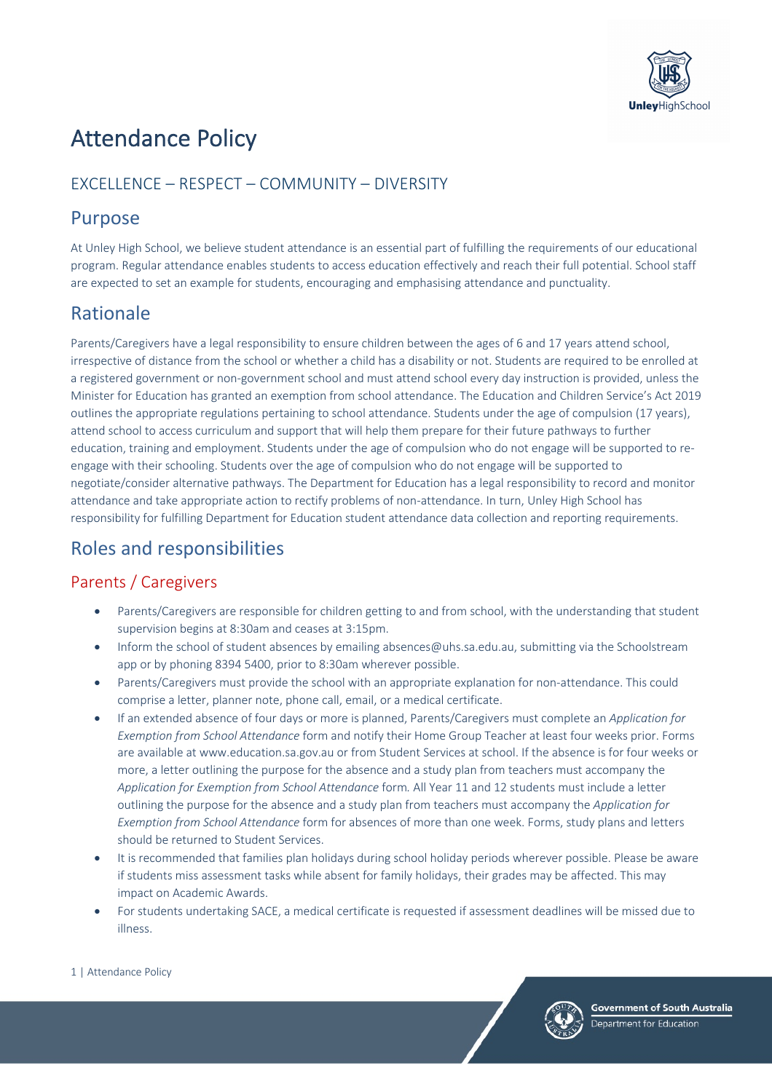

# Attendance Policy

## EXCELLENCE – RESPECT – COMMUNITY – DIVERSITY

## Purpose

At Unley High School, we believe student attendance is an essential part of fulfilling the requirements of our educational program. Regular attendance enables students to access education effectively and reach their full potential. School staff are expected to set an example for students, encouraging and emphasising attendance and punctuality.

# Rationale

Parents/Caregivers have a legal responsibility to ensure children between the ages of 6 and 17 years attend school, irrespective of distance from the school or whether a child has a disability or not. Students are required to be enrolled at a registered government or non-government school and must attend school every day instruction is provided, unless the Minister for Education has granted an exemption from school attendance. The Education and Children Service's Act 2019 outlines the appropriate regulations pertaining to school attendance. Students under the age of compulsion (17 years), attend school to access curriculum and support that will help them prepare for their future pathways to further education, training and employment. Students under the age of compulsion who do not engage will be supported to reengage with their schooling. Students over the age of compulsion who do not engage will be supported to negotiate/consider alternative pathways. The Department for Education has a legal responsibility to record and monitor attendance and take appropriate action to rectify problems of non-attendance. In turn, Unley High School has responsibility for fulfilling Department for Education student attendance data collection and reporting requirements.

## Roles and responsibilities

### Parents / Caregivers

- Parents/Caregivers are responsible for children getting to and from school, with the understanding that student supervision begins at 8:30am and ceases at 3:15pm.
- Inform the school of student absences by emailing absences@uhs.sa.edu.au, submitting via the Schoolstream app or by phoning 8394 5400, prior to 8:30am wherever possible.
- Parents/Caregivers must provide the school with an appropriate explanation for non-attendance. This could comprise a letter, planner note, phone call, email, or a medical certificate.
- If an extended absence of four days or more is planned, Parents/Caregivers must complete an *Application for Exemption from School Attendance* form and notify their Home Group Teacher at least four weeks prior. Forms are available at www.education.sa.gov.au or from Student Services at school. If the absence is for four weeks or more, a letter outlining the purpose for the absence and a study plan from teachers must accompany the *Application for Exemption from School Attendance* form*.* All Year 11 and 12 students must include a letter outlining the purpose for the absence and a study plan from teachers must accompany the *Application for Exemption from School Attendance* form for absences of more than one week. Forms, study plans and letters should be returned to Student Services.
- It is recommended that families plan holidays during school holiday periods wherever possible. Please be aware if students miss assessment tasks while absent for family holidays, their grades may be affected. This may impact on Academic Awards.
- For students undertaking SACE, a medical certificate is requested if assessment deadlines will be missed due to illness.



#### 1 | Attendance Policy